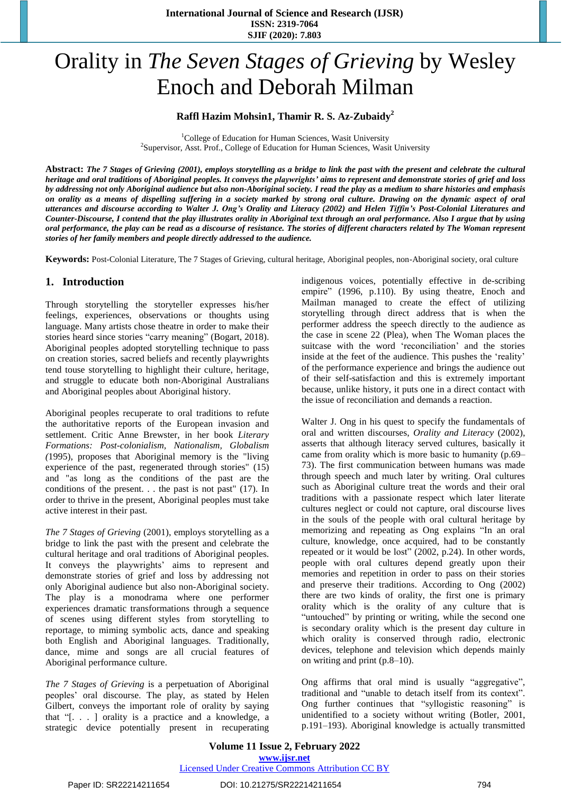# Orality in *The Seven Stages of Grieving* by Wesley Enoch and Deborah Milman

#### **Raffl Hazim Mohsin1, Thamir R. S. Az-Zubaidy<sup>2</sup>**

<sup>1</sup>College of Education for Human Sciences, Wasit University <sup>2</sup>Supervisor, Asst. Prof., College of Education for Human Sciences, Wasit University

Abstract: The 7 Stages of Grieving (2001), employs storytelling as a bridge to link the past with the present and celebrate the cultural heritage and oral traditions of Aboriginal peoples. It conveys the playwrights' aims to represent and demonstrate stories of grief and loss by addressing not only Aboriginal audience but also non-Aboriginal society. I read the play as a medium to share histories and emphasis on orality as a means of dispelling suffering in a society marked by strong oral culture. Drawing on the dynamic aspect of oral utterances and discourse according to Walter J. Ong's Orality and Literacy (2002) and Helen Tiffin's Post-Colonial Literatures and Counter-Discourse, I contend that the play illustrates orality in Aboriginal text through an oral performance. Also I argue that by using oral performance, the play can be read as a discourse of resistance. The stories of different characters related by The Woman represent *stories of her family members and people directly addressed to the audience.*

**Keywords:** Post-Colonial Literature, The 7 Stages of Grieving, cultural heritage, Aboriginal peoples, non-Aboriginal society, oral culture

# **1. Introduction**

Through storytelling the storyteller expresses his/her feelings, experiences, observations or thoughts using language. Many artists chose theatre in order to make their stories heard since stories "carry meaning" (Bogart, 2018). Aboriginal peoples adopted storytelling technique to pass on creation stories, sacred beliefs and recently playwrights tend touse storytelling to highlight their culture, heritage, and struggle to educate both non-Aboriginal Australians and Aboriginal peoples about Aboriginal history.

Aboriginal peoples recuperate to oral traditions to refute the authoritative reports of the European invasion and settlement. Critic Anne Brewster, in her book *Literary Formations: Post-colonialism, Nationalism, Globalism (*1995), proposes that Aboriginal memory is the "living experience of the past, regenerated through stories" (15) and "as long as the conditions of the past are the conditions of the present. . . the past is not past" (17). In order to thrive in the present, Aboriginal peoples must take active interest in their past.

*The 7 Stages of Grieving* (2001), employs storytelling as a bridge to link the past with the present and celebrate the cultural heritage and oral traditions of Aboriginal peoples. It conveys the playwrights' aims to represent and demonstrate stories of grief and loss by addressing not only Aboriginal audience but also non-Aboriginal society. The play is a monodrama where one performer experiences dramatic transformations through a sequence of scenes using different styles from storytelling to reportage, to miming symbolic acts, dance and speaking both English and Aboriginal languages. Traditionally, dance, mime and songs are all crucial features of Aboriginal performance culture.

*The 7 Stages of Grieving* is a perpetuation of Aboriginal peoples' oral discourse. The play, as stated by Helen Gilbert, conveys the important role of orality by saying that "[. . . ] orality is a practice and a knowledge, a strategic device potentially present in recuperating indigenous voices, potentially effective in de-scribing empire" (1996, p.110). By using theatre, Enoch and Mailman managed to create the effect of utilizing storytelling through direct address that is when the performer address the speech directly to the audience as the case in scene 22 (Plea), when The Woman places the suitcase with the word 'reconciliation' and the stories inside at the feet of the audience. This pushes the 'reality' of the performance experience and brings the audience out of their self-satisfaction and this is extremely important because, unlike history, it puts one in a direct contact with the issue of reconciliation and demands a reaction.

Walter J. Ong in his quest to specify the fundamentals of oral and written discourses, *Orality and Literacy* (2002), asserts that although literacy served cultures, basically it came from orality which is more basic to humanity (p.69– 73). The first communication between humans was made through speech and much later by writing. Oral cultures such as Aboriginal culture treat the words and their oral traditions with a passionate respect which later literate cultures neglect or could not capture, oral discourse lives in the souls of the people with oral cultural heritage by memorizing and repeating as Ong explains "In an oral culture, knowledge, once acquired, had to be constantly repeated or it would be lost" (2002, p.24). In other words, people with oral cultures depend greatly upon their memories and repetition in order to pass on their stories and preserve their traditions. According to Ong (2002) there are two kinds of orality, the first one is primary orality which is the orality of any culture that is "untouched" by printing or writing, while the second one is secondary orality which is the present day culture in which orality is conserved through radio, electronic devices, telephone and television which depends mainly on writing and print (p.8–10).

Ong affirms that oral mind is usually "aggregative", traditional and "unable to detach itself from its context". Ong further continues that "syllogistic reasoning" is unidentified to a society without writing (Botler, 2001, p.191–193). Aboriginal knowledge is actually transmitted

**Volume 11 Issue 2, February 2022 www.ijsr.net** Licensed Under Creative Commons Attribution CC BY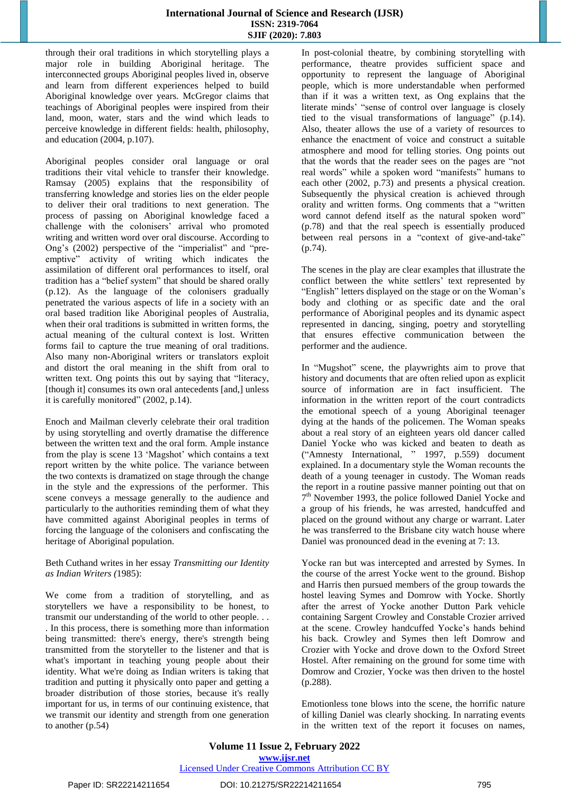through their oral traditions in which storytelling plays a major role in building Aboriginal heritage. The interconnected groups Aboriginal peoples lived in, observe and learn from different experiences helped to build Aboriginal knowledge over years. McGregor claims that teachings of Aboriginal peoples were inspired from their land, moon, water, stars and the wind which leads to perceive knowledge in different fields: health, philosophy, and education (2004, p.107).

Aboriginal peoples consider oral language or oral traditions their vital vehicle to transfer their knowledge. Ramsay (2005) explains that the responsibility of transferring knowledge and stories lies on the elder people to deliver their oral traditions to next generation. The process of passing on Aboriginal knowledge faced a challenge with the colonisers' arrival who promoted writing and written word over oral discourse. According to Ong's (2002) perspective of the "imperialist" and "preemptive" activity of writing which indicates the assimilation of different oral performances to itself, oral tradition has a "belief system" that should be shared orally (p.12). As the language of the colonisers gradually penetrated the various aspects of life in a society with an oral based tradition like Aboriginal peoples of Australia, when their oral traditions is submitted in written forms, the actual meaning of the cultural context is lost. Written forms fail to capture the true meaning of oral traditions. Also many non-Aboriginal writers or translators exploit and distort the oral meaning in the shift from oral to written text. Ong points this out by saying that "literacy, [though it] consumes its own oral antecedents [and,] unless it is carefully monitored" (2002, p.14).

Enoch and Mailman cleverly celebrate their oral tradition by using storytelling and overtly dramatise the difference between the written text and the oral form. Ample instance from the play is scene 13 'Magshot' which contains a text report written by the white police. The variance between the two contexts is dramatized on stage through the change in the style and the expressions of the performer. This scene conveys a message generally to the audience and particularly to the authorities reminding them of what they have committed against Aboriginal peoples in terms of forcing the language of the colonisers and confiscating the heritage of Aboriginal population.

#### Beth Cuthand writes in her essay *Transmitting our Identity as Indian Writers (*1985):

We come from a tradition of storytelling, and as storytellers we have a responsibility to be honest, to transmit our understanding of the world to other people. . . . In this process, there is something more than information being transmitted: there's energy, there's strength being transmitted from the storyteller to the listener and that is what's important in teaching young people about their identity. What we're doing as Indian writers is taking that tradition and putting it physically onto paper and getting a broader distribution of those stories, because it's really important for us, in terms of our continuing existence, that we transmit our identity and strength from one generation to another (p.54)

In post-colonial theatre, by combining storytelling with performance, theatre provides sufficient space and opportunity to represent the language of Aboriginal people, which is more understandable when performed than if it was a written text, as Ong explains that the literate minds' "sense of control over language is closely tied to the visual transformations of language" (p.14). Also, theater allows the use of a variety of resources to enhance the enactment of voice and construct a suitable atmosphere and mood for telling stories. Ong points out that the words that the reader sees on the pages are "not real words" while a spoken word "manifests" humans to each other (2002, p.73) and presents a physical creation. Subsequently the physical creation is achieved through orality and written forms. Ong comments that a "written word cannot defend itself as the natural spoken word" (p.78) and that the real speech is essentially produced between real persons in a "context of give-and-take" (p.74).

The scenes in the play are clear examples that illustrate the conflict between the white settlers' text represented by "English" letters displayed on the stage or on the Woman's body and clothing or as specific date and the oral performance of Aboriginal peoples and its dynamic aspect represented in dancing, singing, poetry and storytelling that ensures effective communication between the performer and the audience.

In "Mugshot" scene, the playwrights aim to prove that history and documents that are often relied upon as explicit source of information are in fact insufficient. The information in the written report of the court contradicts the emotional speech of a young Aboriginal teenager dying at the hands of the policemen. The Woman speaks about a real story of an eighteen years old dancer called Daniel Yocke who was kicked and beaten to death as ("Amnesty International, " 1997, p.559) document explained. In a documentary style the Woman recounts the death of a young teenager in custody. The Woman reads the report in a routine passive manner pointing out that on 7<sup>th</sup> November 1993, the police followed Daniel Yocke and a group of his friends, he was arrested, handcuffed and placed on the ground without any charge or warrant. Later he was transferred to the Brisbane city watch house where Daniel was pronounced dead in the evening at 7: 13.

Yocke ran but was intercepted and arrested by Symes. In the course of the arrest Yocke went to the ground. Bishop and Harris then pursued members of the group towards the hostel leaving Symes and Domrow with Yocke. Shortly after the arrest of Yocke another Dutton Park vehicle containing Sargent Crowley and Constable Crozier arrived at the scene. Crowley handcuffed Yocke's hands behind his back. Crowley and Symes then left Domrow and Crozier with Yocke and drove down to the Oxford Street Hostel. After remaining on the ground for some time with Domrow and Crozier, Yocke was then driven to the hostel (p.288).

Emotionless tone blows into the scene, the horrific nature of killing Daniel was clearly shocking. In narrating events in the written text of the report it focuses on names,

## **Volume 11 Issue 2, February 2022 www.ijsr.net**

# Licensed Under Creative Commons Attribution CC BY